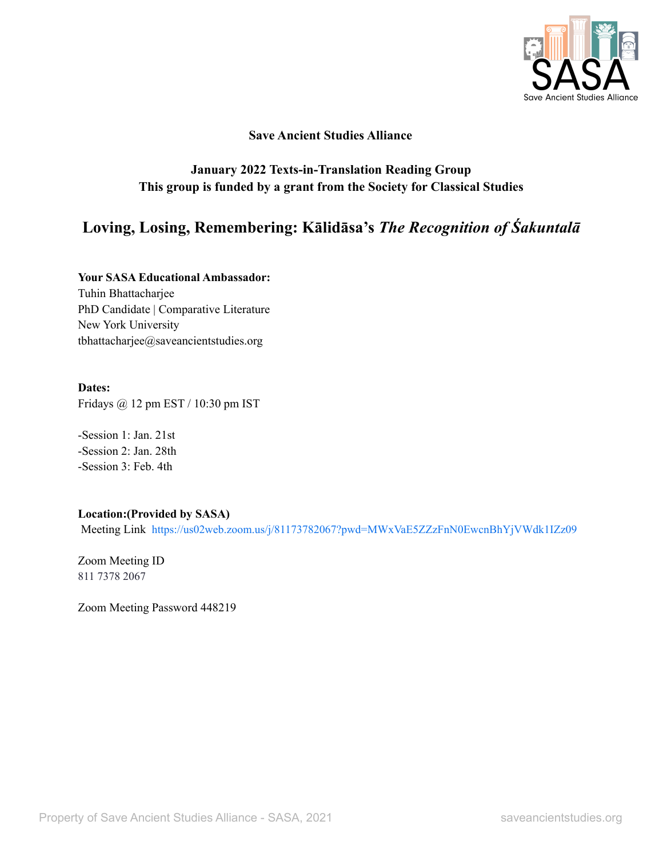

#### **Save Ancient Studies Alliance**

## **January 2022 Texts-in-Translation Reading Group This group is funded by a grant from the Society for Classical Studies**

# **Loving, Losing, Remembering: Kālidāsa's** *The Recognition of Śakuntalā*

**Your SASA Educational Ambassador:** Tuhin Bhattacharjee PhD Candidate | Comparative Literature New York University tbhattacharjee@saveancientstudies.org

#### **Dates:**

Fridays @ 12 pm EST / 10:30 pm IST

-Session 1: Jan. 21st -Session 2: Jan. 28th -Session 3: Feb. 4th

### **Location:(Provided by SASA)**

Meeting Link <https://us02web.zoom.us/j/81173782067?pwd=MWxVaE5ZZzFnN0EwcnBhYjVWdk1IZz09>

Zoom Meeting ID 811 7378 2067

Zoom Meeting Password 448219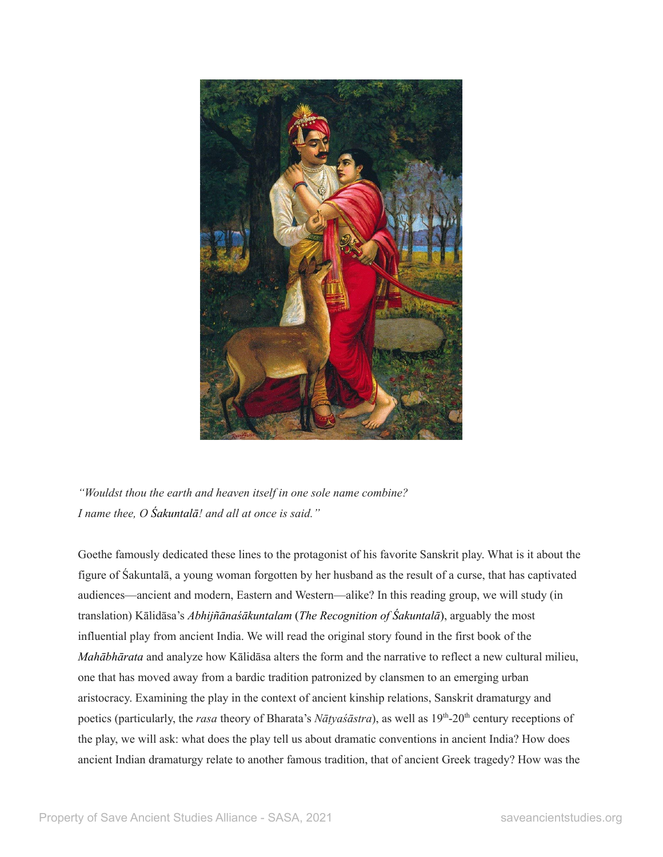

*"Wouldst thou the earth and heaven itself in one sole name combine? I name thee, O Śakuntalā! and all at once is said."*

Goethe famously dedicated these lines to the protagonist of his favorite Sanskrit play. What is it about the figure of Śakuntalā, a young woman forgotten by her husband as the result of a curse, that has captivated audiences—ancient and modern, Eastern and Western—alike? In this reading group, we will study (in translation) Kālidāsa's *Abhijñānaśākuntalam* (*The Recognition of Śakuntalā*), arguably the most influential play from ancient India. We will read the original story found in the first book of the *Mahābhārata* and analyze how Kālidāsa alters the form and the narrative to reflect a new cultural milieu, one that has moved away from a bardic tradition patronized by clansmen to an emerging urban aristocracy. Examining the play in the context of ancient kinship relations, Sanskrit dramaturgy and poetics (particularly, the *rasa* theory of Bharata's *Nāṭyaśāstra*), as well as 19<sup>th</sup>-20<sup>th</sup> century receptions of the play, we will ask: what does the play tell us about dramatic conventions in ancient India? How does ancient Indian dramaturgy relate to another famous tradition, that of ancient Greek tragedy? How was the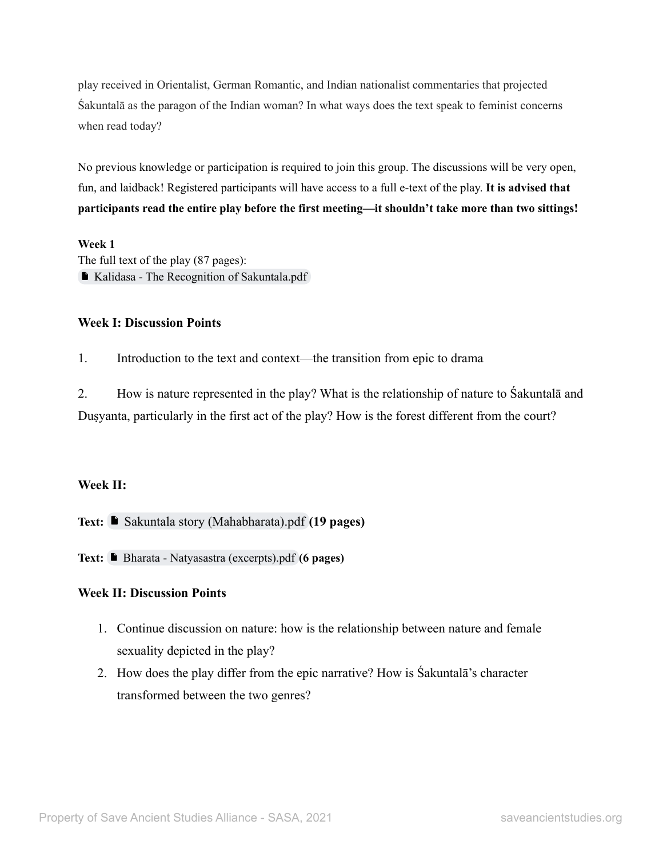play received in Orientalist, German Romantic, and Indian nationalist commentaries that projected Śakuntalā as the paragon of the Indian woman? In what ways does the text speak to feminist concerns when read today?

No previous knowledge or participation is required to join this group. The discussions will be very open, fun, and laidback! Registered participants will have access to a full e-text of the play. **It is advised that participants read the entire play before the first meeting—it shouldn't take more than two sittings!**

#### **Week 1**

The full text of the play (87 pages): Kalidasa - The Recognition of [Sakuntala.pdf](https://drive.google.com/file/d/1JFnXkEDStwt3UaHJovd6Qn-7JMQuy45-/view?usp=sharing)

#### **Week I: Discussion Points**

1. Introduction to the text and context—the transition from epic to drama

2. How is nature represented in the play? What is the relationship of nature to Śakuntalā and Duṣyanta, particularly in the first act of the play? How is the forest different from the court?

### **Week II:**

**Text:** ■ [Sakuntala story \(Mahabharata\).pdf](https://drive.google.com/file/d/1PnTE77sGN71kwvtgZCaAMUIxzQIRxhBV/view?usp=sharing) (19 pages)

**Text:** Bharata - Natyasastra [\(excerpts\).pdf](https://drive.google.com/file/d/1rRZryg7dyVCPFs2yIxYrHL8VSfNMUJYd/view?usp=sharing) **(6 pages)**

### **Week II: Discussion Points**

- 1. Continue discussion on nature: how is the relationship between nature and female sexuality depicted in the play?
- 2. How does the play differ from the epic narrative? How is Śakuntalā's character transformed between the two genres?